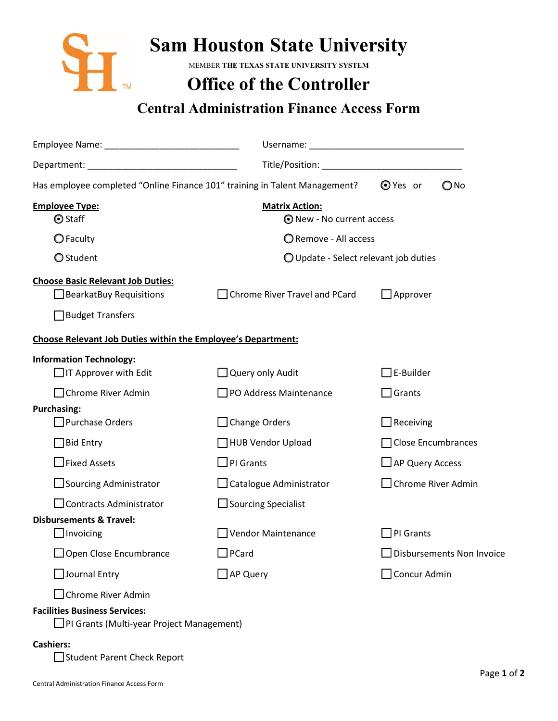

## **Sam Houston State University**

MEMBER **THE TEXAS STATE UNIVERSITY SYSTEM** 

## **Office of the Controller**

## **Central Administration Finance Access Form**

| Has employee completed "Online Finance 101" training in Talent Management?                            |                                                    | $Q$ Yes or<br>$\bigcirc$ No       |
|-------------------------------------------------------------------------------------------------------|----------------------------------------------------|-----------------------------------|
| <b>Employee Type:</b><br><b>⊙</b> Staff                                                               | <b>Matrix Action:</b><br>⊙ New - No current access |                                   |
| $\bigcirc$ Faculty                                                                                    | Remove - All access                                |                                   |
| O Student                                                                                             | O Update - Select relevant job duties              |                                   |
| <b>Choose Basic Relevant Job Duties:</b><br>$\Box$ BearkatBuy Requisitions<br>$\Box$ Budget Transfers | □ Chrome River Travel and PCard                    | $\Box$ Approver                   |
| <b>Choose Relevant Job Duties within the Employee's Department:</b>                                   |                                                    |                                   |
| <b>Information Technology:</b><br>$\Box$ IT Approver with Edit<br>□ Chrome River Admin                | Query only Audit<br>PO Address Maintenance         | $\Box$ E-Builder<br>$\Box$ Grants |
| <b>Purchasing:</b>                                                                                    |                                                    |                                   |
| Purchase Orders                                                                                       | $\Box$ Change Orders                               | Receiving                         |
| $\Box$ Bid Entry                                                                                      | HUB Vendor Upload                                  | Close Encumbrances                |
| $\Box$ Fixed Assets                                                                                   | $\square$ PI Grants                                | $\Box$ AP Query Access            |
| □ Sourcing Administrator                                                                              | $\Box$ Catalogue Administrator                     | Chrome River Admin                |
| □ Contracts Administrator                                                                             | $\Box$ Sourcing Specialist                         |                                   |
| <b>Disbursements &amp; Travel:</b><br>$\Box$ Invoicing                                                | Vendor Maintenance                                 | $\Box$ PI Grants                  |
| □ Open Close Encumbrance                                                                              | $\square$ PCard                                    | Disbursements Non Invoice         |
| $\Box$ Journal Entry                                                                                  | $\Box$ AP Query                                    | □ Concur Admin                    |
| □ Chrome River Admin                                                                                  |                                                    |                                   |
| <b>Facilities Business Services:</b>                                                                  |                                                    |                                   |

## **Cashiers:**

Student Parent Check Report